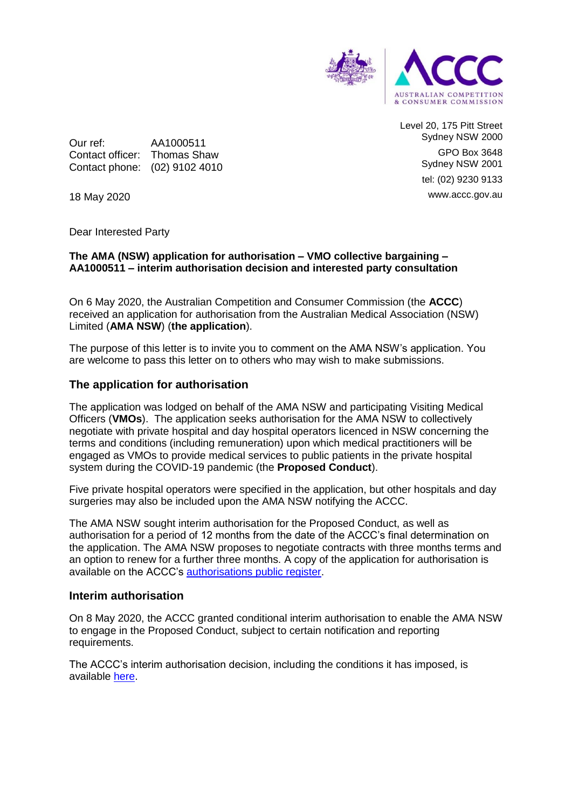

Level 20, 175 Pitt Street Sydney NSW 2000 GPO Box 3648 Sydney NSW 2001 tel: (02) 9230 9133 www.accc.gov.au

Our ref: AA1000511 Contact officer: Thomas Shaw Contact phone: (02) 9102 4010

18 May 2020

Dear Interested Party

### **The AMA (NSW) application for authorisation – VMO collective bargaining – AA1000511 – interim authorisation decision and interested party consultation**

On 6 May 2020, the Australian Competition and Consumer Commission (the **ACCC**) received an application for authorisation from the Australian Medical Association (NSW) Limited (**AMA NSW**) (**the application**).

The purpose of this letter is to invite you to comment on the AMA NSW's application. You are welcome to pass this letter on to others who may wish to make submissions.

### **The application for authorisation**

The application was lodged on behalf of the AMA NSW and participating Visiting Medical Officers (**VMOs**). The application seeks authorisation for the AMA NSW to collectively negotiate with private hospital and day hospital operators licenced in NSW concerning the terms and conditions (including remuneration) upon which medical practitioners will be engaged as VMOs to provide medical services to public patients in the private hospital system during the COVID-19 pandemic (the **Proposed Conduct**).

Five private hospital operators were specified in the application, but other hospitals and day surgeries may also be included upon the AMA NSW notifying the ACCC.

The AMA NSW sought interim authorisation for the Proposed Conduct, as well as authorisation for a period of 12 months from the date of the ACCC's final determination on the application. The AMA NSW proposes to negotiate contracts with three months terms and an option to renew for a further three months. A copy of the application for authorisation is available on the ACCC's [authorisations public register.](https://www.accc.gov.au/public-registers/authorisations-and-notifications-registers/authorisations-register/amansw-%E2%80%93-vmo-collective-bargaining-in-response-to-covid-19)

### **Interim authorisation**

On 8 May 2020, the ACCC granted conditional interim authorisation to enable the AMA NSW to engage in the Proposed Conduct, subject to certain notification and reporting requirements.

The ACCC's interim authorisation decision, including the conditions it has imposed, is available [here.](https://www.accc.gov.au/system/files/public-registers/documents/Interim%20Authorisation%20Decision%20-%2008.05.20%20-%20PR%20-%20AA1000511%20AMA%20NSW.pdf)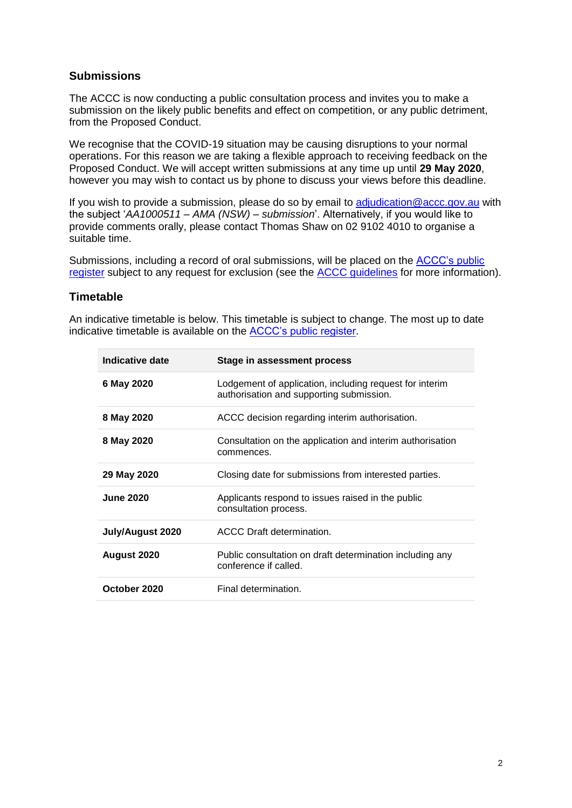# **Submissions**

The ACCC is now conducting a public consultation process and invites you to make a submission on the likely public benefits and effect on competition, or any public detriment, from the Proposed Conduct.

We recognise that the COVID-19 situation may be causing disruptions to your normal operations. For this reason we are taking a flexible approach to receiving feedback on the Proposed Conduct. We will accept written submissions at any time up until **29 May 2020**, however you may wish to contact us by phone to discuss your views before this deadline.

If you wish to provide a submission, please do so by email to [adjudication@accc.gov.au](mailto:adjudication@accc.gov.au) with the subject '*AA1000511 – AMA (NSW) – submission*'. Alternatively, if you would like to provide comments orally, please contact Thomas Shaw on 02 9102 4010 to organise a suitable time.

Submissions, including a record of oral submissions, will be placed on the [ACCC's public](https://www.accc.gov.au/public-registers/authorisations-and-notifications-registers/authorisations-register/amansw-%E2%80%93-vmo-collective-bargaining-in-response-to-covid-19)  [register](https://www.accc.gov.au/public-registers/authorisations-and-notifications-registers/authorisations-register/amansw-%E2%80%93-vmo-collective-bargaining-in-response-to-covid-19) subject to any request for exclusion (see the [ACCC guidelines](https://www.accc.gov.au/publications/guidelines-for-authorisation-of-conduct-non-merger) for more information).

## **Timetable**

An indicative timetable is below. This timetable is subject to change. The most up to date indicative timetable is available on the [ACCC's public register.](https://www.accc.gov.au/public-registers/authorisations-and-notifications-registers/authorisations-register/amansw-%E2%80%93-vmo-collective-bargaining-in-response-to-covid-19)

| Indicative date  | <b>Stage in assessment process</b>                                                                  |
|------------------|-----------------------------------------------------------------------------------------------------|
| 6 May 2020       | Lodgement of application, including request for interim<br>authorisation and supporting submission. |
| 8 May 2020       | ACCC decision regarding interim authorisation.                                                      |
| 8 May 2020       | Consultation on the application and interim authorisation<br>commences.                             |
| 29 May 2020      | Closing date for submissions from interested parties.                                               |
| <b>June 2020</b> | Applicants respond to issues raised in the public<br>consultation process.                          |
| July/August 2020 | ACCC Draft determination.                                                                           |
| August 2020      | Public consultation on draft determination including any<br>conference if called.                   |
| October 2020     | Final determination.                                                                                |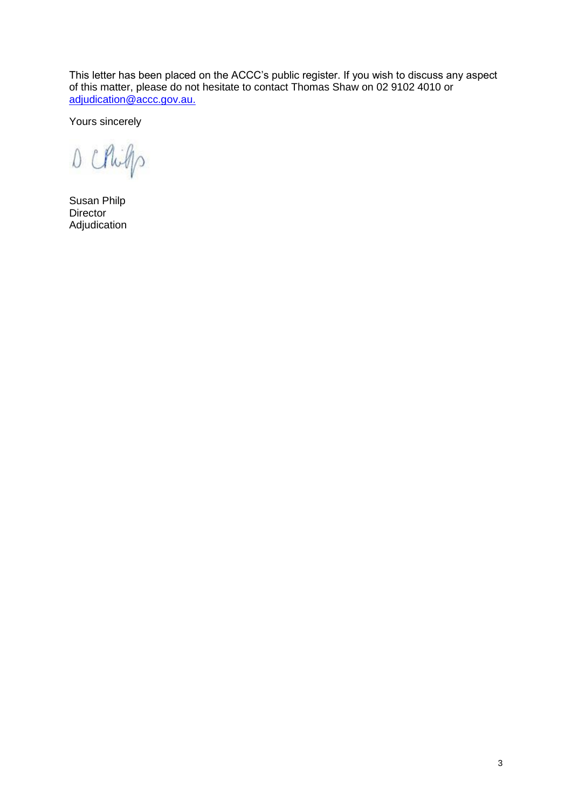This letter has been placed on the ACCC's public register. If you wish to discuss any aspect of this matter, please do not hesitate to contact Thomas Shaw on 02 9102 4010 or [adjudication@accc.gov.au.](mailto:adjudication@accc.gov.au)

Yours sincerely

D Chips

Susan Philp Director Adjudication